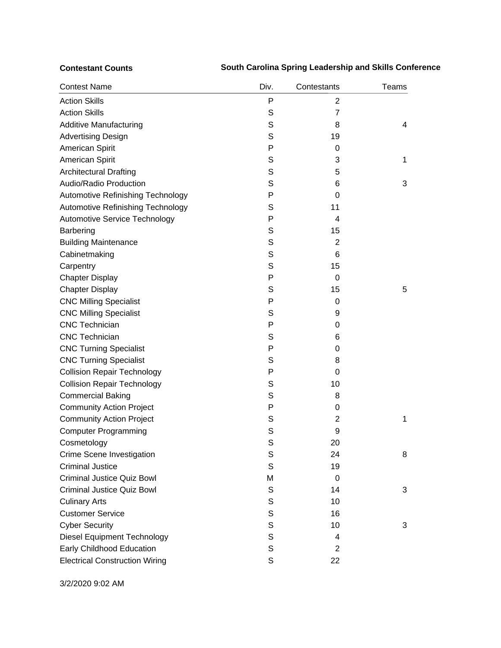## **Contestant Counts South Carolina Spring Leadership and Skills Conference**

| <b>Contest Name</b>                   | Div.        | Contestants    | Teams |
|---------------------------------------|-------------|----------------|-------|
| <b>Action Skills</b>                  | Ρ           | 2              |       |
| <b>Action Skills</b>                  | S           | 7              |       |
| <b>Additive Manufacturing</b>         | S           | 8              | 4     |
| <b>Advertising Design</b>             | S           | 19             |       |
| American Spirit                       | P           | 0              |       |
| American Spirit                       | S           | 3              | 1     |
| <b>Architectural Drafting</b>         | S           | 5              |       |
| Audio/Radio Production                | S           | 6              | 3     |
| Automotive Refinishing Technology     | P           | $\Omega$       |       |
| Automotive Refinishing Technology     | S           | 11             |       |
| Automotive Service Technology         | P           | 4              |       |
| <b>Barbering</b>                      | S           | 15             |       |
| <b>Building Maintenance</b>           | S           | 2              |       |
| Cabinetmaking                         | S           | 6              |       |
| Carpentry                             | S           | 15             |       |
| <b>Chapter Display</b>                | P           | $\Omega$       |       |
| <b>Chapter Display</b>                | S           | 15             | 5     |
| <b>CNC Milling Specialist</b>         | P           | 0              |       |
| <b>CNC Milling Specialist</b>         | S           | 9              |       |
| <b>CNC Technician</b>                 | P           | 0              |       |
| <b>CNC Technician</b>                 | S           | 6              |       |
| <b>CNC Turning Specialist</b>         | P           | 0              |       |
| <b>CNC Turning Specialist</b>         | S           | 8              |       |
| <b>Collision Repair Technology</b>    | P           | $\Omega$       |       |
| <b>Collision Repair Technology</b>    | S           | 10             |       |
| <b>Commercial Baking</b>              | S           | 8              |       |
| <b>Community Action Project</b>       | P           | 0              |       |
| <b>Community Action Project</b>       | S           | $\overline{2}$ | 1     |
| <b>Computer Programming</b>           | S           | 9              |       |
| Cosmetology                           | S           | 20             |       |
| Crime Scene Investigation             | S           | 24             | 8     |
| <b>Criminal Justice</b>               | S           | 19             |       |
| <b>Criminal Justice Quiz Bowl</b>     | M           | 0              |       |
| <b>Criminal Justice Quiz Bowl</b>     | S           | 14             | 3     |
| <b>Culinary Arts</b>                  | S           | 10             |       |
| <b>Customer Service</b>               | S           | 16             |       |
| <b>Cyber Security</b>                 | $\mathbb S$ | 10             | 3     |
| <b>Diesel Equipment Technology</b>    | S           | 4              |       |
| Early Childhood Education             | S           | $\overline{2}$ |       |
| <b>Electrical Construction Wiring</b> | S           | 22             |       |

3/2/2020 9:02 AM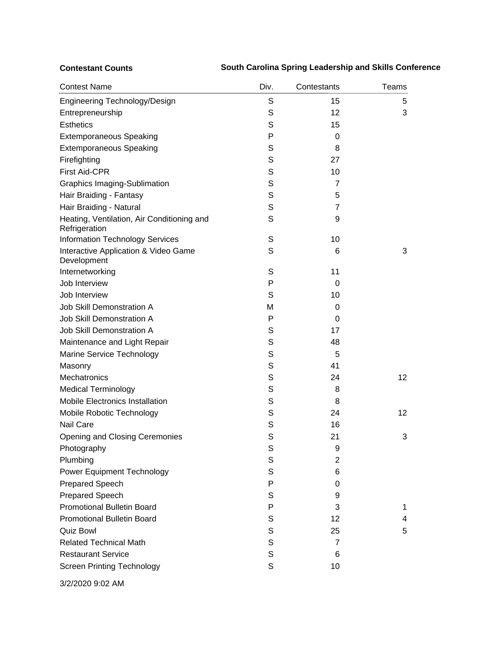## **Contestant Counts South Carolina Spring Leadership and Skills Conference**

| <b>Contest Name</b>                                         | Div.        | Contestants    | Teams |
|-------------------------------------------------------------|-------------|----------------|-------|
| Engineering Technology/Design                               | S           | 15             | 5     |
| Entrepreneurship                                            | S           | 12             | 3     |
| <b>Esthetics</b>                                            | S           | 15             |       |
| <b>Extemporaneous Speaking</b>                              | P           | 0              |       |
| <b>Extemporaneous Speaking</b>                              | S           | 8              |       |
| Firefighting                                                | S           | 27             |       |
| <b>First Aid-CPR</b>                                        | S           | 10             |       |
| <b>Graphics Imaging-Sublimation</b>                         | S           | 7              |       |
| Hair Braiding - Fantasy                                     | S           | 5              |       |
| Hair Braiding - Natural                                     | S           | $\overline{7}$ |       |
| Heating, Ventilation, Air Conditioning and<br>Refrigeration | S           | 9              |       |
| <b>Information Technology Services</b>                      | S           | 10             |       |
| Interactive Application & Video Game<br>Development         | S           | 6              | 3     |
| Internetworking                                             | S           | 11             |       |
| Job Interview                                               | P           | 0              |       |
| Job Interview                                               | S           | 10             |       |
| <b>Job Skill Demonstration A</b>                            | M           | 0              |       |
| <b>Job Skill Demonstration A</b>                            | P           | 0              |       |
| <b>Job Skill Demonstration A</b>                            | S           | 17             |       |
| Maintenance and Light Repair                                | S           | 48             |       |
| Marine Service Technology                                   | S           | 5              |       |
| Masonry                                                     | S           | 41             |       |
| Mechatronics                                                | S           | 24             | 12    |
| <b>Medical Terminology</b>                                  | S           | 8              |       |
| <b>Mobile Electronics Installation</b>                      | S           | 8              |       |
| Mobile Robotic Technology                                   | S           | 24             | 12    |
| <b>Nail Care</b>                                            | S           | 16             |       |
| Opening and Closing Ceremonies                              | S           | 21             | 3     |
| Photography                                                 | S           | 9              |       |
| Plumbing                                                    | S           | 2              |       |
| Power Equipment Technology                                  | S           | 6              |       |
| <b>Prepared Speech</b>                                      | P           | 0              |       |
| <b>Prepared Speech</b>                                      | S           | 9              |       |
| <b>Promotional Bulletin Board</b>                           | P           | 3              | 1     |
| <b>Promotional Bulletin Board</b>                           | S           | 12             | 4     |
| <b>Quiz Bowl</b>                                            | S           | 25             | 5     |
| <b>Related Technical Math</b>                               | S           | 7              |       |
| <b>Restaurant Service</b>                                   | $\mathbb S$ | 6              |       |
| <b>Screen Printing Technology</b>                           | S           | 10             |       |

3/2/2020 9:02 AM